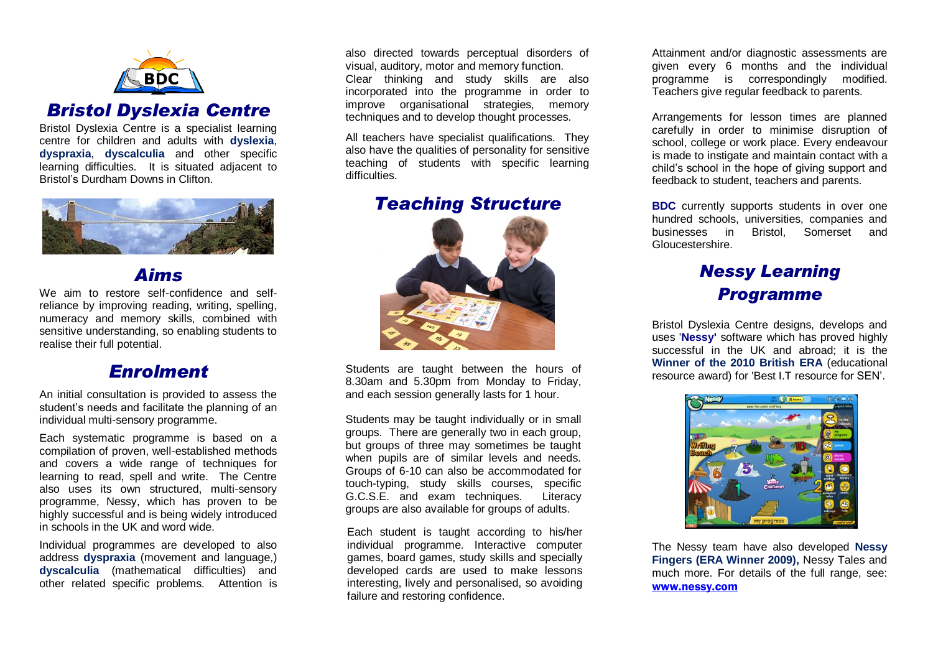

## *Bristol Dyslexia Centre*

Bristol Dyslexia Centre is a specialist learning centre for children and adults with **dyslexia**, **dyspraxia**, **dyscalculia** and other specific learning difficulties. It is situated adjacent to Bristol's Durdham Downs in Clifton.



## *Aims*

We aim to restore self-confidence and selfreliance by improving reading, writing, spelling, numeracy and memory skills, combined with sensitive understanding, so enabling students to realise their full potential.

#### *Enrolment*

An initial consultation is provided to assess the student's needs and facilitate the planning of an individual multi-sensory programme.

Each systematic programme is based on a compilation of proven, well-established methods and covers a wide range of techniques for learning to read, spell and write. The Centre also uses its own structured, multi-sensory programme, Nessy, which has proven to be highly successful and is being widely introduced in schools in the UK and word wide.

Individual programmes are developed to also address **dyspraxia** (movement and language,) **dyscalculia** (mathematical difficulties) and other related specific problems. Attention is

also directed towards perceptual disorders of visual, auditory, motor and memory function. Clear thinking and study skills are also incorporated into the programme in order to improve organisational strategies, memory techniques and to develop thought processes.

All teachers have specialist qualifications. They also have the qualities of personality for sensitive teaching of students with specific learning difficulties

*Teaching Structure*



Students are taught between the hours of 8.30am and 5.30pm from Monday to Friday, and each session generally lasts for 1 hour.

Students may be taught individually or in small groups. There are generally two in each group, but groups of three may sometimes be taught when pupils are of similar levels and needs. Groups of 6-10 can also be accommodated for touch-typing, study skills courses, specific G.C.S.E. and exam techniques. Literacy groups are also available for groups of adults.

Each student is taught according to his/her individual programme. Interactive computer games, board games, study skills and specially developed cards are used to make lessons interesting, lively and personalised, so avoiding failure and restoring confidence.

Attainment and/or diagnostic assessments are given every 6 months and the individual programme is correspondingly modified. Teachers give regular feedback to parents.

Arrangements for lesson times are planned carefully in order to minimise disruption of school, college or work place. Every endeavour is made to instigate and maintain contact with a child's school in the hope of giving support and feedback to student, teachers and parents.

**BDC** currently supports students in over one hundred schools, universities, companies and businesses in Bristol, Somerset and Gloucestershire.

## *Nessy Learning Programme*

Bristol Dyslexia Centre designs, develops and uses '**Nessy'** software which has proved highly successful in the UK and abroad; it is the **Winner of the 2010 British ERA** (educational resource award) for 'Best I.T resource for SEN'.



The Nessy team have also developed **Nessy Fingers (ERA Winner 2009),** Nessy Tales and much more. For details of the full range, see: [www.nessy.com](file://bdc/data%202/Dyslexia%20Centre/Office%20docs/Brochures/www.nessy.com)